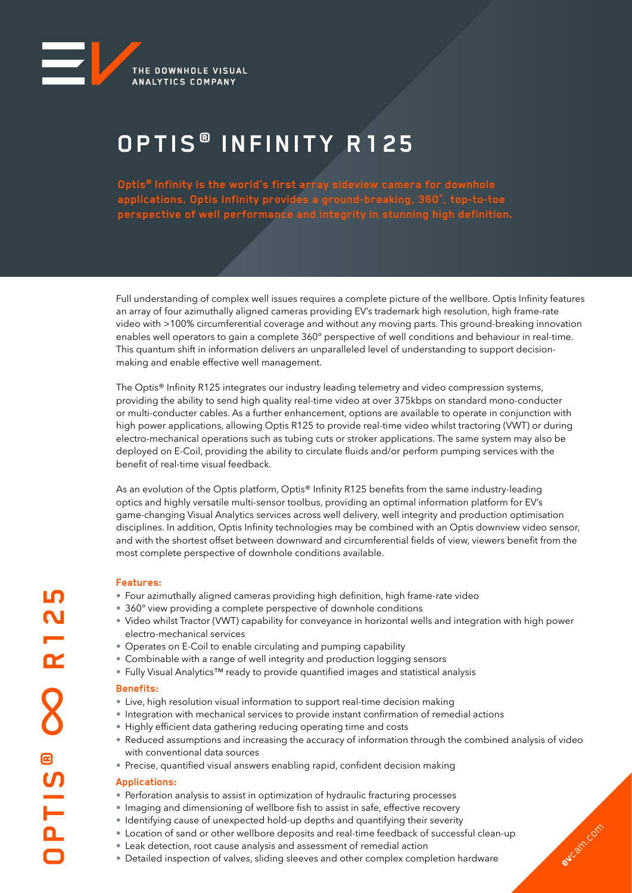

# **OPTIS ® INFINITY R125**

**Optis® Infinity is the world's first array sideview camera for downhole applications. Optis Infinity provides a ground-breaking, 360°, top-to-toe perspective of well performance and integrity in stunning high definition.**

Full understanding of complex well issues requires a complete picture of the wellbore. Optis Infinity features an array of four azimuthally aligned cameras providing EV's trademark high resolution, high frame-rate video with >100% circumferential coverage and without any moving parts. This ground-breaking innovation enables well operators to gain a complete 360° perspective of well conditions and behaviour in real-time. This quantum shift in information delivers an unparalleled level of understanding to support decisionmaking and enable effective well management.

The Optis® Infinity R125 integrates our industry leading telemetry and video compression systems, providing the ability to send high quality real-time video at over 375kbps on standard mono-conducter or multi-conducter cables. As a further enhancement, options are available to operate in conjunction with high power applications, allowing Optis R125 to provide real-time video whilst tractoring (VWT) or during electro-mechanical operations such as tubing cuts or stroker applications. The same system may also be deployed on E-Coil, providing the ability to circulate fluids and/or perform pumping services with the benefit of real-time visual feedback.

As an evolution of the Optis platform, Optis® Infinity R125 benefits from the same industry-leading optics and highly versatile multi-sensor toolbus, providing an optimal information platform for EV's game-changing Visual Analytics services across well delivery, well integrity and production optimisation disciplines. In addition, Optis Infinity technologies may be combined with an Optis downview video sensor, and with the shortest offset between downward and circumferential fields of view, viewers benefit from the most complete perspective of downhole conditions available.

### **Features:**

- Four azimuthally aligned cameras providing high definition, high frame-rate video
- 360° view providing a complete perspective of downhole conditions
- Video whilst Tractor (VWT) capability for conveyance in horizontal wells and integration with high power electro-mechanical services
- Operates on E-Coil to enable circulating and pumping capability
- Combinable with a range of well integrity and production logging sensors
- Fully Visual Analytics™ ready to provide quantified images and statistical analysis

### **Benefits:**

- Live, high resolution visual information to support real-time decision making
- Integration with mechanical services to provide instant confirmation of remedial actions
- Highly efficient data gathering reducing operating time and costs
- Reduced assumptions and increasing the accuracy of information through the combined analysis of video with conventional data sources

**ev**cam.com

• Precise, quantified visual answers enabling rapid, confident decision making

### **Applications:**

- Perforation analysis to assist in optimization of hydraulic fracturing processes
- Imaging and dimensioning of wellbore fish to assist in safe, effective recovery
- Identifying cause of unexpected hold-up depths and quantifying their severity
- Location of sand or other wellbore deposits and real-time feedback of successful clean-up
- Leak detection, root cause analysis and assessment of remedial action
- Detailed inspection of valves, sliding sleeves and other complex completion hardware